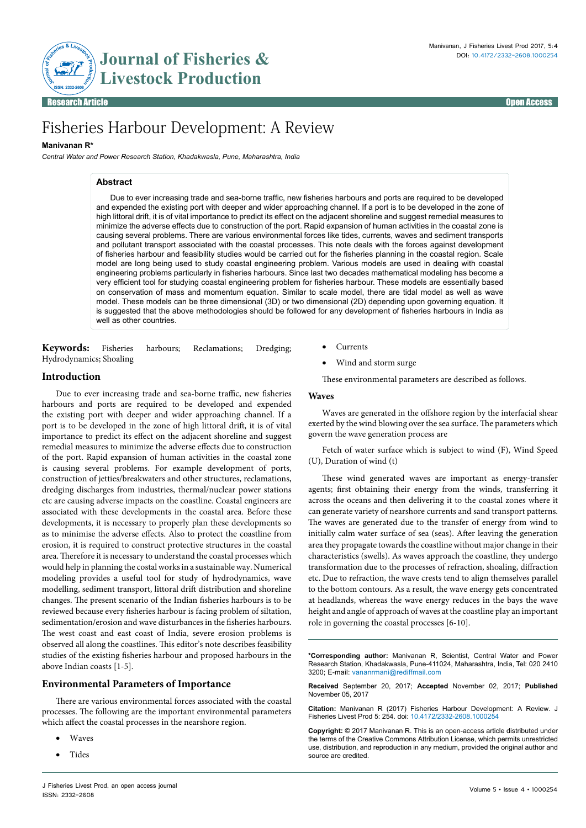

# Fisheries Harbour Development: A Review

# **Manivanan R\***

*Central Water and Power Research Station, Khadakwasla, Pune, Maharashtra, India*

# **Abstract**

Due to ever increasing trade and sea-borne traffic, new fisheries harbours and ports are required to be developed and expended the existing port with deeper and wider approaching channel. If a port is to be developed in the zone of high littoral drift, it is of vital importance to predict its effect on the adjacent shoreline and suggest remedial measures to minimize the adverse effects due to construction of the port. Rapid expansion of human activities in the coastal zone is causing several problems. There are various environmental forces like tides, currents, waves and sediment transports and pollutant transport associated with the coastal processes. This note deals with the forces against development of fisheries harbour and feasibility studies would be carried out for the fisheries planning in the coastal region. Scale model are long being used to study coastal engineering problem. Various models are used in dealing with coastal engineering problems particularly in fisheries harbours. Since last two decades mathematical modeling has become a very efficient tool for studying coastal engineering problem for fisheries harbour. These models are essentially based on conservation of mass and momentum equation. Similar to scale model, there are tidal model as well as wave model. These models can be three dimensional (3D) or two dimensional (2D) depending upon governing equation. It is suggested that the above methodologies should be followed for any development of fisheries harbours in India as well as other countries.

**Keywords:** Fisheries harbours; Reclamations; Dredging; Hydrodynamics; Shoaling

# **Introduction**

Due to ever increasing trade and sea-borne traffic, new fisheries harbours and ports are required to be developed and expended the existing port with deeper and wider approaching channel. If a port is to be developed in the zone of high littoral drift, it is of vital importance to predict its effect on the adjacent shoreline and suggest remedial measures to minimize the adverse effects due to construction of the port. Rapid expansion of human activities in the coastal zone is causing several problems. For example development of ports, construction of jetties/breakwaters and other structures, reclamations, dredging discharges from industries, thermal/nuclear power stations etc are causing adverse impacts on the coastline. Coastal engineers are associated with these developments in the coastal area. Before these developments, it is necessary to properly plan these developments so as to minimise the adverse effects. Also to protect the coastline from erosion, it is required to construct protective structures in the coastal area. Therefore it is necessary to understand the coastal processes which would help in planning the costal works in a sustainable way. Numerical modeling provides a useful tool for study of hydrodynamics, wave modelling, sediment transport, littoral drift distribution and shoreline changes. The present scenario of the Indian fisheries harbours is to be reviewed because every fisheries harbour is facing problem of siltation, sedimentation/erosion and wave disturbances in the fisheries harbours. The west coast and east coast of India, severe erosion problems is observed all along the coastlines. This editor's note describes feasibility studies of the existing fisheries harbour and proposed harbours in the above Indian coasts [1-5].

# **Environmental Parameters of Importance**

There are various environmental forces associated with the coastal processes. The following are the important environmental parameters which affect the coastal processes in the nearshore region.

- **Waves**
- **Tides**
- • Currents
- Wind and storm surge

These environmental parameters are described as follows.

## **Waves**

Waves are generated in the offshore region by the interfacial shear exerted by the wind blowing over the sea surface. The parameters which govern the wave generation process are

Fetch of water surface which is subject to wind (F), Wind Speed (U), Duration of wind (t)

These wind generated waves are important as energy-transfer agents; first obtaining their energy from the winds, transferring it across the oceans and then delivering it to the coastal zones where it can generate variety of nearshore currents and sand transport patterns. The waves are generated due to the transfer of energy from wind to initially calm water surface of sea (seas). After leaving the generation area they propagate towards the coastline without major change in their characteristics (swells). As waves approach the coastline, they undergo transformation due to the processes of refraction, shoaling, diffraction etc. Due to refraction, the wave crests tend to align themselves parallel to the bottom contours. As a result, the wave energy gets concentrated at headlands, whereas the wave energy reduces in the bays the wave height and angle of approach of waves at the coastline play an important role in governing the coastal processes [6-10].

**\*Corresponding author:** Manivanan R, Scientist, Central Water and Power Research Station, Khadakwasla, Pune-411024, Maharashtra, India, Tel: 020 2410 3200; E-mail: vananrmani@rediffmail.com

**Received** September 20, 2017; **Accepted** November 02, 2017; **Published** November 05, 2017

**Citation:** Manivanan R (2017) Fisheries Harbour Development: A Review. J Fisheries Livest Prod 5: 254. doi: 10.4172/2332-2608.1000254

**Copyright:** © 2017 Manivanan R. This is an open-access article distributed under the terms of the Creative Commons Attribution License, which permits unrestricted use, distribution, and reproduction in any medium, provided the original author and source are credited.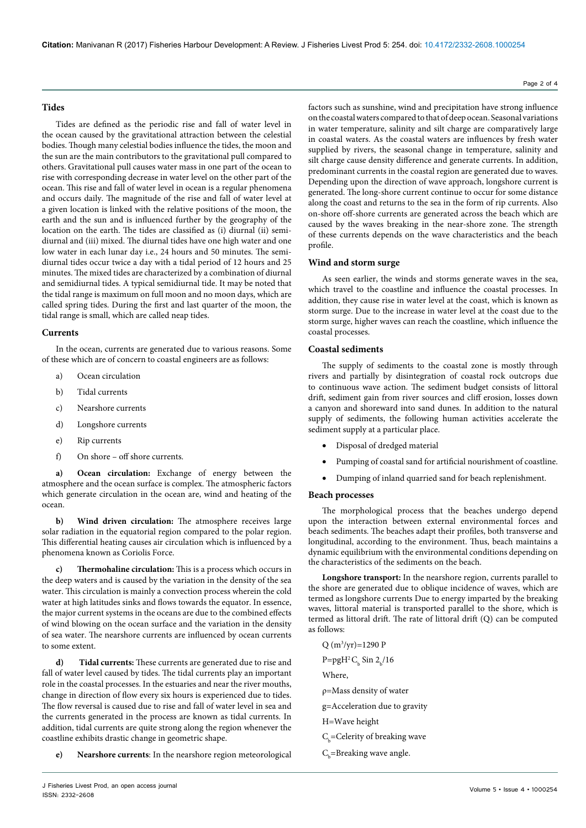#### **Tides**

Tides are defined as the periodic rise and fall of water level in the ocean caused by the gravitational attraction between the celestial bodies. Though many celestial bodies influence the tides, the moon and the sun are the main contributors to the gravitational pull compared to others. Gravitational pull causes water mass in one part of the ocean to rise with corresponding decrease in water level on the other part of the ocean. This rise and fall of water level in ocean is a regular phenomena and occurs daily. The magnitude of the rise and fall of water level at a given location is linked with the relative positions of the moon, the earth and the sun and is influenced further by the geography of the location on the earth. The tides are classified as (i) diurnal (ii) semidiurnal and (iii) mixed. The diurnal tides have one high water and one low water in each lunar day i.e., 24 hours and 50 minutes. The semidiurnal tides occur twice a day with a tidal period of 12 hours and 25 minutes. The mixed tides are characterized by a combination of diurnal and semidiurnal tides. A typical semidiurnal tide. It may be noted that the tidal range is maximum on full moon and no moon days, which are called spring tides. During the first and last quarter of the moon, the tidal range is small, which are called neap tides.

#### **Currents**

In the ocean, currents are generated due to various reasons. Some of these which are of concern to coastal engineers are as follows:

- a) Ocean circulation
- b) Tidal currents
- c) Nearshore currents
- d) Longshore currents
- e) Rip currents
- f) On shore off shore currents.

**a) Ocean circulation:** Exchange of energy between the atmosphere and the ocean surface is complex. The atmospheric factors which generate circulation in the ocean are, wind and heating of the ocean.

**b) Wind driven circulation:** The atmosphere receives large solar radiation in the equatorial region compared to the polar region. This differential heating causes air circulation which is influenced by a phenomena known as Coriolis Force.

**c) Thermohaline circulation:** This is a process which occurs in the deep waters and is caused by the variation in the density of the sea water. This circulation is mainly a convection process wherein the cold water at high latitudes sinks and flows towards the equator. In essence, the major current systems in the oceans are due to the combined effects of wind blowing on the ocean surface and the variation in the density of sea water. The nearshore currents are influenced by ocean currents to some extent.

**d) Tidal currents:** These currents are generated due to rise and fall of water level caused by tides. The tidal currents play an important role in the coastal processes. In the estuaries and near the river mouths, change in direction of flow every six hours is experienced due to tides. The flow reversal is caused due to rise and fall of water level in sea and the currents generated in the process are known as tidal currents. In addition, tidal currents are quite strong along the region whenever the coastline exhibits drastic change in geometric shape.

**e) Nearshore currents**: In the nearshore region meteorological

Volume 5 • Issue 4 • 1000254 J Fisheries Livest Prod, an open access journal ISSN: 2332-2608

factors such as sunshine, wind and precipitation have strong influence on the coastal waters compared to that of deep ocean. Seasonal variations in water temperature, salinity and silt charge are comparatively large in coastal waters. As the coastal waters are influences by fresh water supplied by rivers, the seasonal change in temperature, salinity and silt charge cause density difference and generate currents. In addition, predominant currents in the coastal region are generated due to waves. Depending upon the direction of wave approach, longshore current is generated. The long-shore current continue to occur for some distance along the coast and returns to the sea in the form of rip currents. Also on-shore off-shore currents are generated across the beach which are caused by the waves breaking in the near-shore zone. The strength of these currents depends on the wave characteristics and the beach profile.

## **Wind and storm surge**

As seen earlier, the winds and storms generate waves in the sea, which travel to the coastline and influence the coastal processes. In addition, they cause rise in water level at the coast, which is known as storm surge. Due to the increase in water level at the coast due to the storm surge, higher waves can reach the coastline, which influence the coastal processes.

## **Coastal sediments**

The supply of sediments to the coastal zone is mostly through rivers and partially by disintegration of coastal rock outcrops due to continuous wave action. The sediment budget consists of littoral drift, sediment gain from river sources and cliff erosion, losses down a canyon and shoreward into sand dunes. In addition to the natural supply of sediments, the following human activities accelerate the sediment supply at a particular place.

- • Disposal of dredged material
- Pumping of coastal sand for artificial nourishment of coastline.
- • Dumping of inland quarried sand for beach replenishment.

#### **Beach processes**

The morphological process that the beaches undergo depend upon the interaction between external environmental forces and beach sediments. The beaches adapt their profiles, both transverse and longitudinal, according to the environment. Thus, beach maintains a dynamic equilibrium with the environmental conditions depending on the characteristics of the sediments on the beach.

**Longshore transport:** In the nearshore region, currents parallel to the shore are generated due to oblique incidence of waves, which are termed as longshore currents Due to energy imparted by the breaking waves, littoral material is transported parallel to the shore, which is termed as littoral drift. The rate of littoral drift (Q) can be computed as follows:

Q (m3 /yr)=1290 P  $P = pgH<sup>2</sup>C<sub>b</sub>$  Sin 2<sub>b</sub>/16 Where, ρ=Mass density of water g=Acceleration due to gravity H=Wave height  $C_{\rm b}$ =Celerity of breaking wave  $C_{b}$ =Breaking wave angle.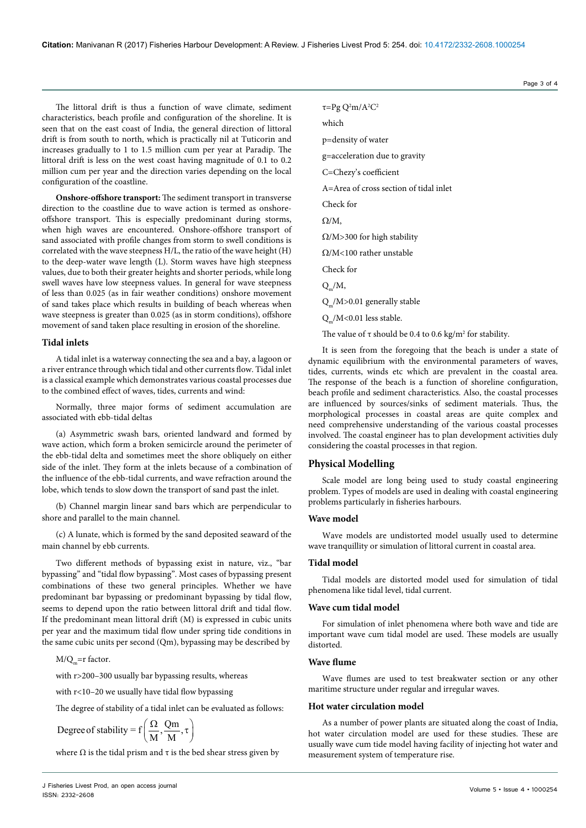The littoral drift is thus a function of wave climate, sediment characteristics, beach profile and configuration of the shoreline. It is seen that on the east coast of India, the general direction of littoral drift is from south to north, which is practically nil at Tuticorin and increases gradually to 1 to 1.5 million cum per year at Paradip. The littoral drift is less on the west coast having magnitude of 0.1 to 0.2 million cum per year and the direction varies depending on the local configuration of the coastline.

**Onshore-offshore transport:** The sediment transport in transverse direction to the coastline due to wave action is termed as onshoreoffshore transport. This is especially predominant during storms, when high waves are encountered. Onshore-offshore transport of sand associated with profile changes from storm to swell conditions is correlated with the wave steepness H/L, the ratio of the wave height (H) to the deep-water wave length (L). Storm waves have high steepness values, due to both their greater heights and shorter periods, while long swell waves have low steepness values. In general for wave steepness of less than 0.025 (as in fair weather conditions) onshore movement of sand takes place which results in building of beach whereas when wave steepness is greater than 0.025 (as in storm conditions), offshore movement of sand taken place resulting in erosion of the shoreline.

## **Tidal inlets**

A tidal inlet is a waterway connecting the sea and a bay, a lagoon or a river entrance through which tidal and other currents flow. Tidal inlet is a classical example which demonstrates various coastal processes due to the combined effect of waves, tides, currents and wind:

Normally, three major forms of sediment accumulation are associated with ebb-tidal deltas

(a) Asymmetric swash bars, oriented landward and formed by wave action, which form a broken semicircle around the perimeter of the ebb-tidal delta and sometimes meet the shore obliquely on either side of the inlet. They form at the inlets because of a combination of the influence of the ebb-tidal currents, and wave refraction around the lobe, which tends to slow down the transport of sand past the inlet.

(b) Channel margin linear sand bars which are perpendicular to shore and parallel to the main channel.

(c) A lunate, which is formed by the sand deposited seaward of the main channel by ebb currents.

Two different methods of bypassing exist in nature, viz., "bar bypassing" and "tidal flow bypassing". Most cases of bypassing present combinations of these two general principles. Whether we have predominant bar bypassing or predominant bypassing by tidal flow, seems to depend upon the ratio between littoral drift and tidal flow. If the predominant mean littoral drift (M) is expressed in cubic units per year and the maximum tidal flow under spring tide conditions in the same cubic units per second (Qm), bypassing may be described by

 $M/Q_m$ =r factor.

with r>200–300 usually bar bypassing results, whereas

with r<10–20 we usually have tidal flow bypassing

The degree of stability of a tidal inlet can be evaluated as follows:

Degree of stability = 
$$
f\left(\frac{\Omega}{M}, \frac{Qm}{M}, \tau\right)
$$

where  $\Omega$  is the tidal prism and  $\tau$  is the bed shear stress given by

 $τ=Pg Q<sup>2</sup>m/A<sup>2</sup>C<sup>2</sup>$ which p=density of water g=acceleration due to gravity C=Chezy's coefficient A=Area of cross section of tidal inlet Check for  $Ω/M$ , Ω/M>300 for high stability Ω/M<100 rather unstable Check for  $Q_{n}/M$ , Q<sub>m</sub>/M>0.01 generally stable Q\_/M<0.01 less stable.

The value of  $\tau$  should be 0.4 to 0.6 kg/m<sup>2</sup> for stability.

It is seen from the foregoing that the beach is under a state of dynamic equilibrium with the environmental parameters of waves, tides, currents, winds etc which are prevalent in the coastal area. The response of the beach is a function of shoreline configuration, beach profile and sediment characteristics. Also, the coastal processes are influenced by sources/sinks of sediment materials. Thus, the morphological processes in coastal areas are quite complex and need comprehensive understanding of the various coastal processes involved. The coastal engineer has to plan development activities duly considering the coastal processes in that region.

# **Physical Modelling**

Scale model are long being used to study coastal engineering problem. Types of models are used in dealing with coastal engineering problems particularly in fisheries harbours.

## **Wave model**

Wave models are undistorted model usually used to determine wave tranquillity or simulation of littoral current in coastal area.

#### **Tidal model**

Tidal models are distorted model used for simulation of tidal phenomena like tidal level, tidal current.

### **Wave cum tidal model**

For simulation of inlet phenomena where both wave and tide are important wave cum tidal model are used. These models are usually distorted.

### **Wave flume**

Wave flumes are used to test breakwater section or any other maritime structure under regular and irregular waves.

## **Hot water circulation model**

As a number of power plants are situated along the coast of India, hot water circulation model are used for these studies. These are usually wave cum tide model having facility of injecting hot water and measurement system of temperature rise.